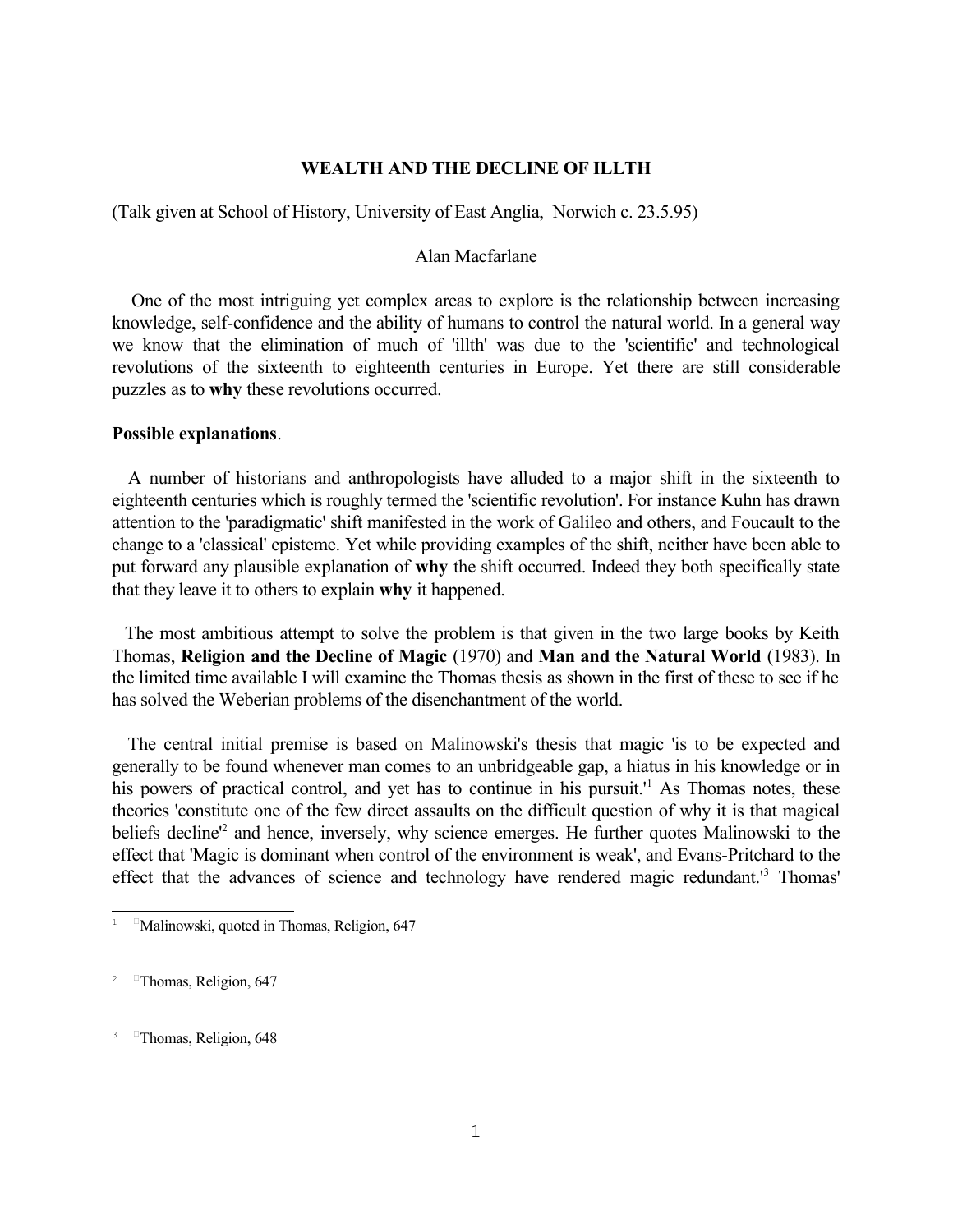## **WEALTH AND THE DECLINE OF ILLTH**

(Talk given at School of History, University of East Anglia, Norwich c. 23.5.95)

## Alan Macfarlane

One of the most intriguing yet complex areas to explore is the relationship between increasing knowledge, self-confidence and the ability of humans to control the natural world. In a general way we know that the elimination of much of 'illth' was due to the 'scientific' and technological revolutions of the sixteenth to eighteenth centuries in Europe. Yet there are still considerable puzzles as to **why** these revolutions occurred.

## **Possible explanations**.

A number of historians and anthropologists have alluded to a major shift in the sixteenth to eighteenth centuries which is roughly termed the 'scientific revolution'. For instance Kuhn has drawn attention to the 'paradigmatic' shift manifested in the work of Galileo and others, and Foucault to the change to a 'classical' episteme. Yet while providing examples of the shift, neither have been able to put forward any plausible explanation of **why** the shift occurred. Indeed they both specifically state that they leave it to others to explain **why** it happened.

The most ambitious attempt to solve the problem is that given in the two large books by Keith Thomas, **Religion and the Decline of Magic** (1970) and **Man and the Natural World** (1983). In the limited time available I will examine the Thomas thesis as shown in the first of these to see if he has solved the Weberian problems of the disenchantment of the world.

The central initial premise is based on Malinowski's thesis that magic 'is to be expected and generally to be found whenever man comes to an unbridgeable gap, a hiatus in his knowledge or in his powers of practical control, and yet has to continue in his pursuit.<sup>[1](#page-0-0)1</sup> As Thomas notes, these theories 'constitute one of the few direct assaults on the difficult question of why it is that magical beliefs decline<sup>1[2](#page-0-1)</sup> and hence, inversely, why science emerges. He further quotes Malinowski to the effect that 'Magic is dominant when control of the environment is weak', and Evans-Pritchard to the effect that the advances of science and technology have rendered magic redundant.<sup>1[3](#page-0-2)</sup> Thomas'

<span id="page-0-0"></span><sup>&</sup>lt;sup>1</sup> Malinowski, quoted in Thomas, Religion, 647

<span id="page-0-1"></span><sup>&</sup>lt;sup>2</sup> <sup>T</sup>homas, Religion, 647

<span id="page-0-2"></span><sup>&</sup>lt;sup>3</sup> <sup>T</sup>homas, Religion, 648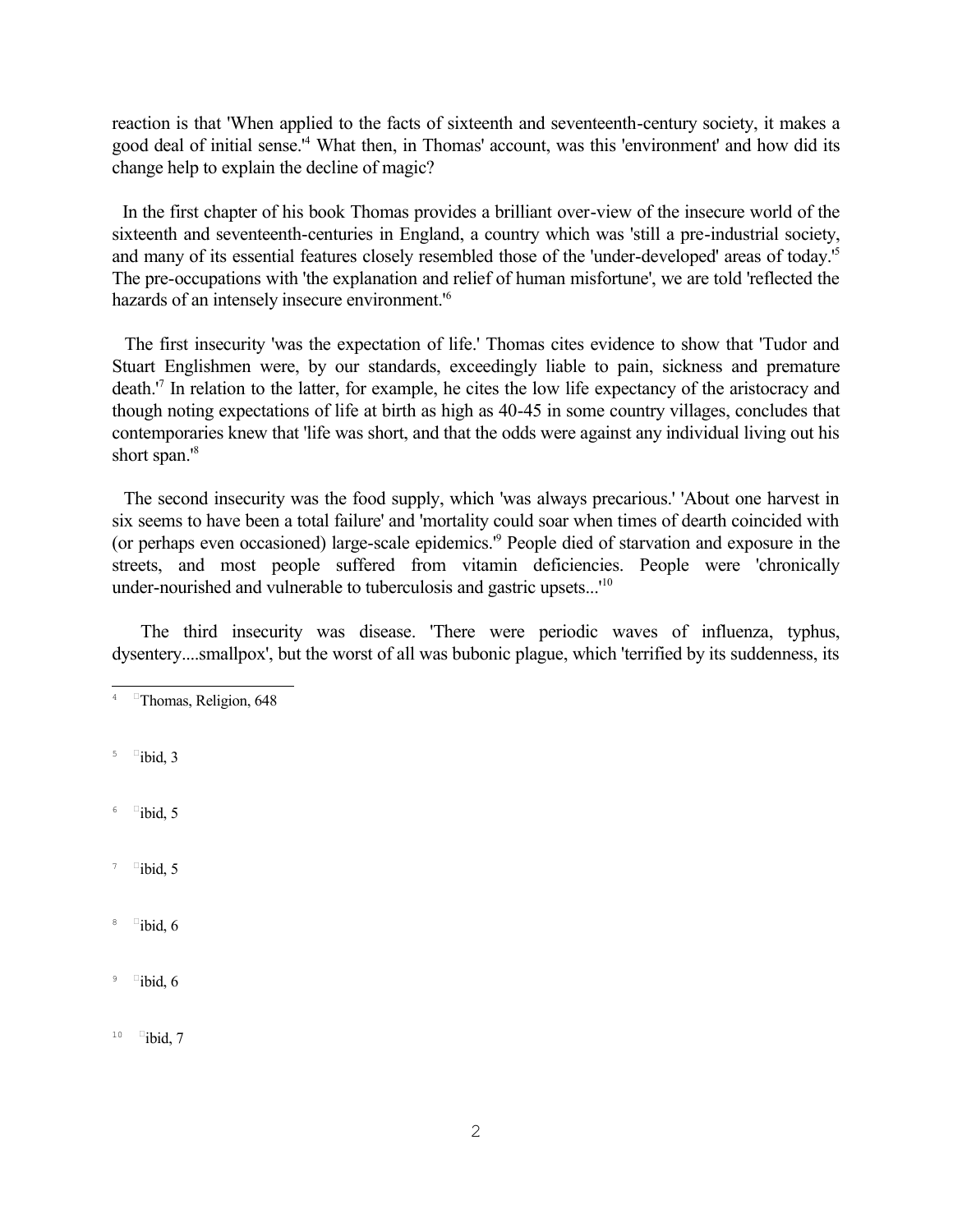reaction is that 'When applied to the facts of sixteenth and seventeenth-century society, it makes a good deal of initial sense.' [4](#page-1-0) What then, in Thomas' account, was this 'environment' and how did its change help to explain the decline of magic?

In the first chapter of his book Thomas provides a brilliant over-view of the insecure world of the sixteenth and seventeenth-centuries in England, a country which was 'still a pre-industrial society, and many of its essential features closely resembled those of the 'under-developed' areas of today.' [5](#page-1-1) The pre-occupations with 'the explanation and relief of human misfortune', we are told 'reflected the hazards of an intensely insecure environment.<sup>1[6](#page-1-2)</sup>

The first insecurity 'was the expectation of life.' Thomas cites evidence to show that 'Tudor and Stuart Englishmen were, by our standards, exceedingly liable to pain, sickness and premature death.<sup>'[7](#page-1-3)</sup> In relation to the latter, for example, he cites the low life expectancy of the aristocracy and though noting expectations of life at birth as high as 40-45 in some country villages, concludes that contemporaries knew that 'life was short, and that the odds were against any individual living out his short span.<sup>'[8](#page-1-4)</sup>

The second insecurity was the food supply, which 'was always precarious.' 'About one harvest in six seems to have been a total failure' and 'mortality could soar when times of dearth coincided with (or perhaps even occasioned) large-scale epidemics.' [9](#page-1-5) People died of starvation and exposure in the streets, and most people suffered from vitamin deficiencies. People were 'chronically under-nourished and vulnerable to tuberculosis and gastric upsets...'<sup>[10](#page-1-6)</sup>

The third insecurity was disease. 'There were periodic waves of influenza, typhus, dysentery....smallpox', but the worst of all was bubonic plague, which 'terrified by its suddenness, its

<span id="page-1-1"></span> $5$   $\Box$ ibid, 3

<span id="page-1-2"></span> $6$  ibid, 5

<span id="page-1-3"></span> $7$   $\Box$ ibid, 5

<span id="page-1-4"></span> $8$   $\blacksquare$ ibid, 6

<span id="page-1-5"></span> $9$   $\frac{1}{1}$   $\frac{1}{10}$   $\frac{1}{10}$   $\frac{1}{10}$   $\frac{1}{10}$   $\frac{1}{10}$   $\frac{1}{10}$   $\frac{1}{10}$   $\frac{1}{10}$   $\frac{1}{10}$   $\frac{1}{10}$   $\frac{1}{10}$   $\frac{1}{10}$   $\frac{1}{10}$   $\frac{1}{10}$   $\frac{1}{10}$   $\frac{1}{10}$   $\frac{1}{10}$   $\frac{1}{10$ 

<span id="page-1-6"></span> $^{10}$   $^{\circ}$  ibid, 7

<span id="page-1-0"></span><sup>&</sup>lt;sup>4</sup> <sup>T</sup>homas, Religion, 648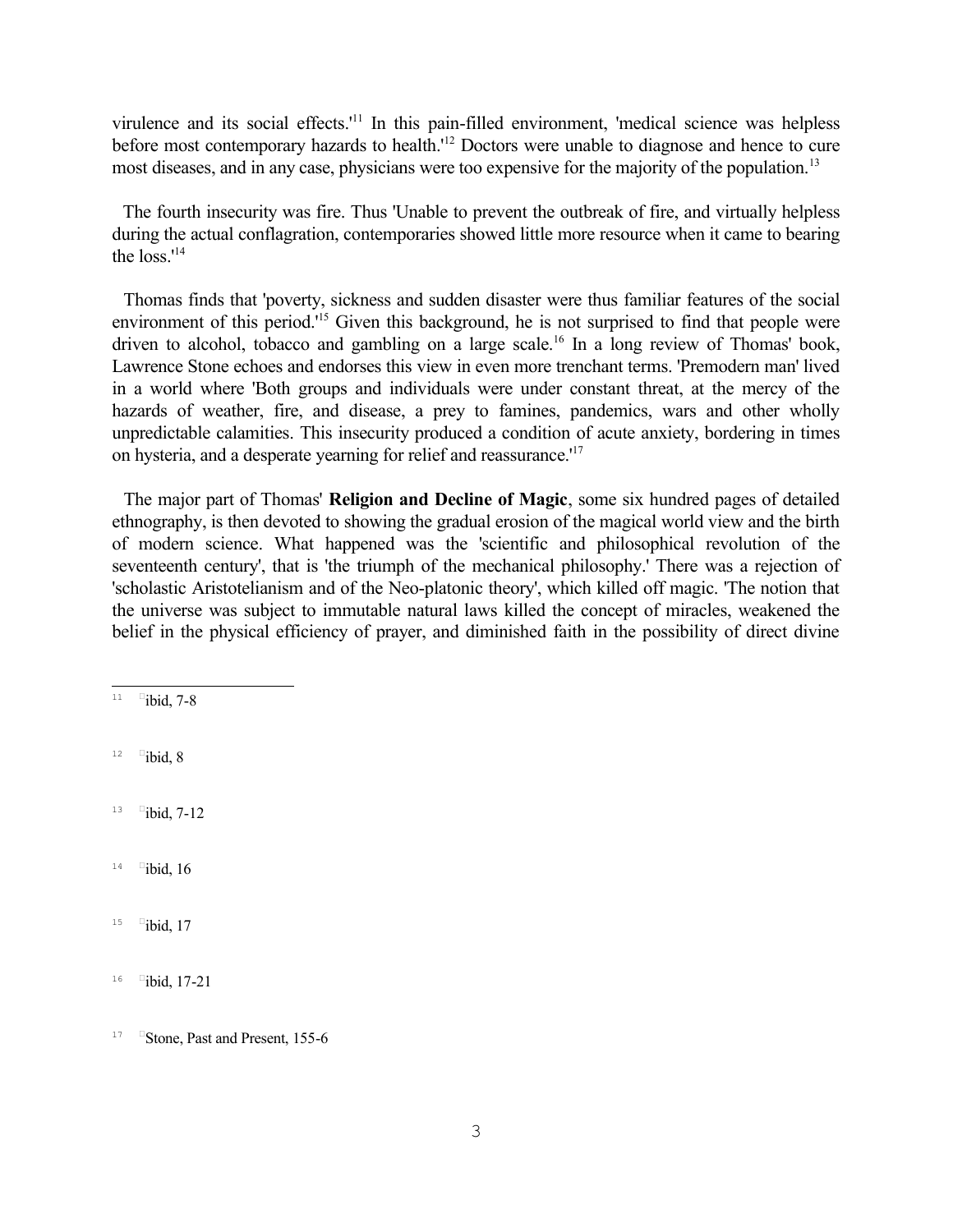virulence and its social effects.<sup>'[11](#page-2-0)</sup> In this pain-filled environment, 'medical science was helpless before most contemporary hazards to health.<sup>[12](#page-2-1)</sup> Doctors were unable to diagnose and hence to cure most diseases, and in any case, physicians were too expensive for the majority of the population.<sup>[13](#page-2-2)</sup>

The fourth insecurity was fire. Thus 'Unable to prevent the outbreak of fire, and virtually helpless during the actual conflagration, contemporaries showed little more resource when it came to bearing the loss.' [14](#page-2-3)

Thomas finds that 'poverty, sickness and sudden disaster were thus familiar features of the social environment of this period.<sup>[15](#page-2-4)</sup> Given this background, he is not surprised to find that people were driven to alcohol, tobacco and gambling on a large scale.<sup>[16](#page-2-5)</sup> In a long review of Thomas' book, Lawrence Stone echoes and endorses this view in even more trenchant terms. 'Premodern man' lived in a world where 'Both groups and individuals were under constant threat, at the mercy of the hazards of weather, fire, and disease, a prey to famines, pandemics, wars and other wholly unpredictable calamities. This insecurity produced a condition of acute anxiety, bordering in times on hysteria, and a desperate yearning for relief and reassurance.' [17](#page-2-6)

The major part of Thomas' **Religion and Decline of Magic**, some six hundred pages of detailed ethnography, is then devoted to showing the gradual erosion of the magical world view and the birth of modern science. What happened was the 'scientific and philosophical revolution of the seventeenth century', that is 'the triumph of the mechanical philosophy.' There was a rejection of 'scholastic Aristotelianism and of the Neo-platonic theory', which killed off magic. 'The notion that the universe was subject to immutable natural laws killed the concept of miracles, weakened the belief in the physical efficiency of prayer, and diminished faith in the possibility of direct divine

<span id="page-2-0"></span> $11$ ibid, 7-8

<span id="page-2-1"></span>12 ibid, 8

<span id="page-2-2"></span>13 ibid, 7-12

<span id="page-2-3"></span> $14$ ibid, 16

<span id="page-2-4"></span> $15$ ibid, 17

<span id="page-2-6"></span>17 -<sup>D</sup>Stone, Past and Present, 155-6

<span id="page-2-5"></span><sup>16</sup> ibid, 17-21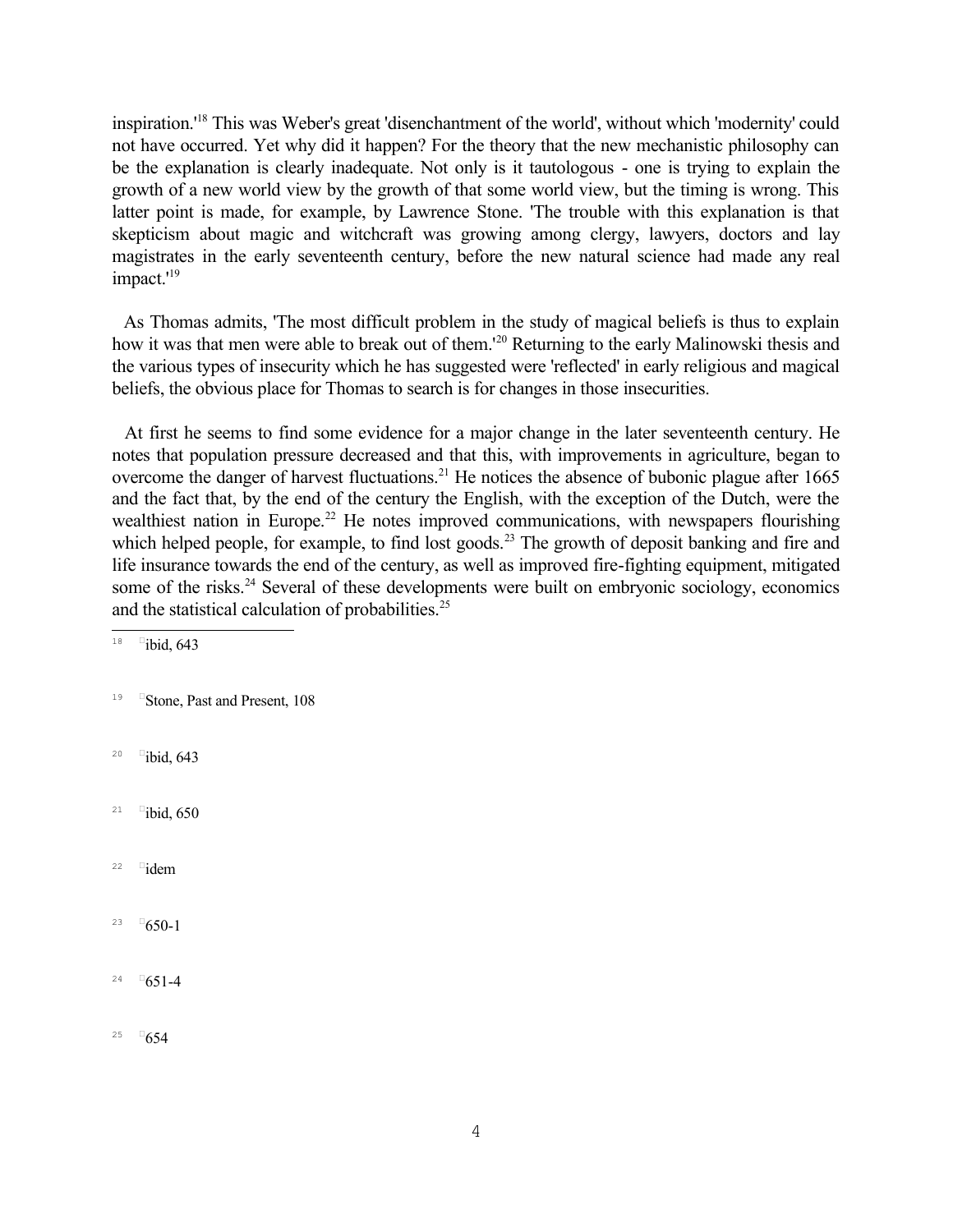inspiration.' [18](#page-3-0) This was Weber's great 'disenchantment of the world', without which 'modernity' could not have occurred. Yet why did it happen? For the theory that the new mechanistic philosophy can be the explanation is clearly inadequate. Not only is it tautologous - one is trying to explain the growth of a new world view by the growth of that some world view, but the timing is wrong. This latter point is made, for example, by Lawrence Stone. 'The trouble with this explanation is that skepticism about magic and witchcraft was growing among clergy, lawyers, doctors and lay magistrates in the early seventeenth century, before the new natural science had made any real impact.'<sup>[19](#page-3-1)</sup>

As Thomas admits, 'The most difficult problem in the study of magical beliefs is thus to explain how it was that men were able to break out of them.<sup>1[20](#page-3-2)</sup> Returning to the early Malinowski thesis and the various types of insecurity which he has suggested were 'reflected' in early religious and magical beliefs, the obvious place for Thomas to search is for changes in those insecurities.

At first he seems to find some evidence for a major change in the later seventeenth century. He notes that population pressure decreased and that this, with improvements in agriculture, began to overcome the danger of harvest fluctuations.<sup>[21](#page-3-3)</sup> He notices the absence of bubonic plague after 1665 and the fact that, by the end of the century the English, with the exception of the Dutch, were the wealthiest nation in Europe.<sup>[22](#page-3-4)</sup> He notes improved communications, with newspapers flourishing which helped people, for example, to find lost goods.<sup>[23](#page-3-5)</sup> The growth of deposit banking and fire and life insurance towards the end of the century, as well as improved fire-fighting equipment, mitigated some of the risks.<sup>[24](#page-3-6)</sup> Several of these developments were built on embryonic sociology, economics and the statistical calculation of probabilities. [25](#page-3-7)

<span id="page-3-2"></span> $20$ ibid, 643

<span id="page-3-5"></span>23 -650-1

<span id="page-3-0"></span> $18$ ibid, 643

<span id="page-3-1"></span><sup>19</sup> Stone, Past and Present, 108

<span id="page-3-3"></span> $21$ ibid, 650

<span id="page-3-4"></span><sup>22</sup> idem

<span id="page-3-6"></span> $24$ 651-4

<span id="page-3-7"></span><sup>&</sup>lt;sup>25</sup>  $-654$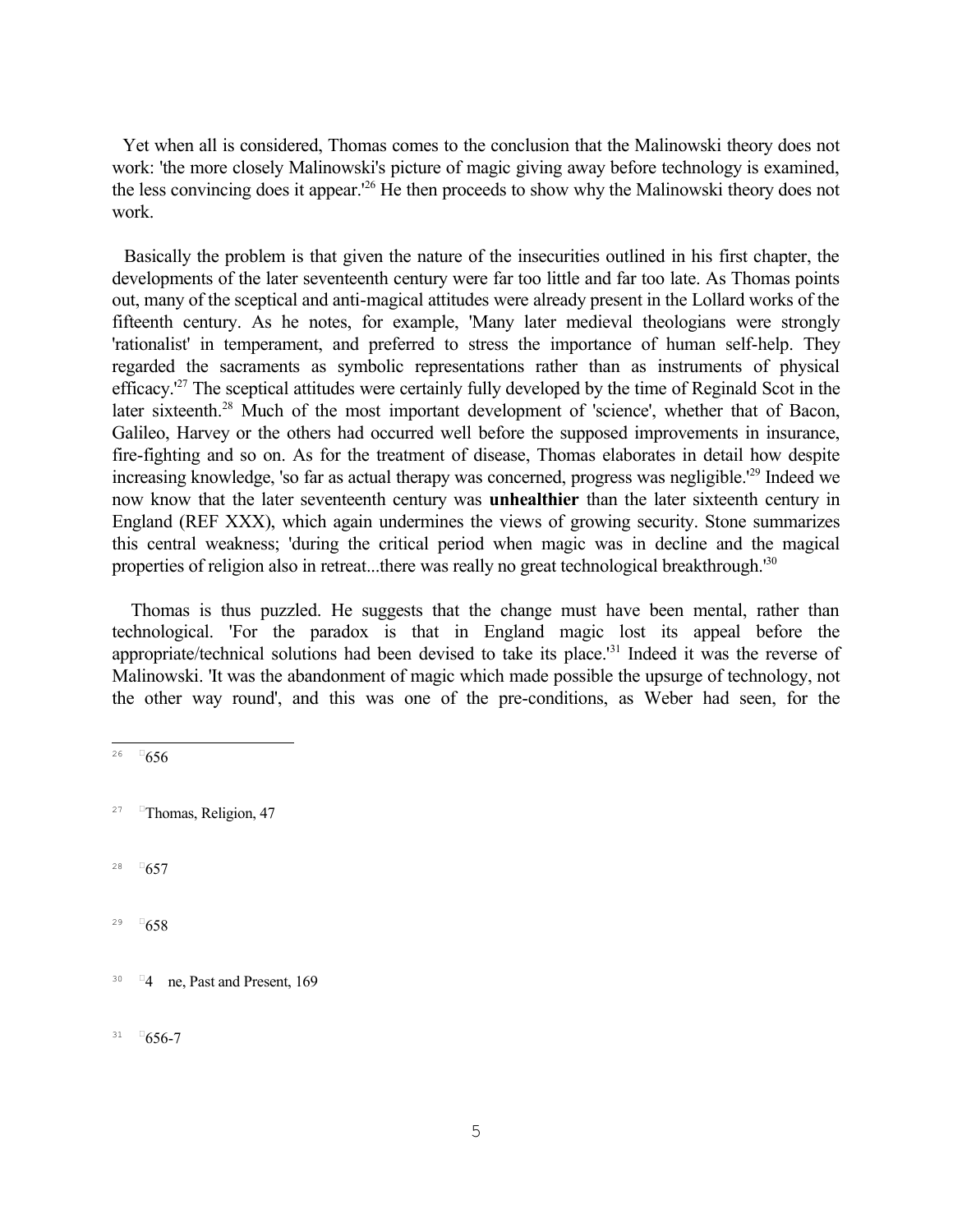Yet when all is considered, Thomas comes to the conclusion that the Malinowski theory does not work: 'the more closely Malinowski's picture of magic giving away before technology is examined, the less convincing does it appear.<sup>1[26](#page-4-0)</sup> He then proceeds to show why the Malinowski theory does not work.

Basically the problem is that given the nature of the insecurities outlined in his first chapter, the developments of the later seventeenth century were far too little and far too late. As Thomas points out, many of the sceptical and anti-magical attitudes were already present in the Lollard works of the fifteenth century. As he notes, for example, 'Many later medieval theologians were strongly 'rationalist' in temperament, and preferred to stress the importance of human self-help. They regarded the sacraments as symbolic representations rather than as instruments of physical efficacy.<sup>1[27](#page-4-1)</sup> The sceptical attitudes were certainly fully developed by the time of Reginald Scot in the later sixteenth.<sup>[28](#page-4-2)</sup> Much of the most important development of 'science', whether that of Bacon, Galileo, Harvey or the others had occurred well before the supposed improvements in insurance, fire-fighting and so on. As for the treatment of disease, Thomas elaborates in detail how despite increasing knowledge, 'so far as actual therapy was concerned, progress was negligible.<sup>1[29](#page-4-3)</sup> Indeed we now know that the later seventeenth century was **unhealthier** than the later sixteenth century in England (REF XXX), which again undermines the views of growing security. Stone summarizes this central weakness; 'during the critical period when magic was in decline and the magical properties of religion also in retreat...there was really no great technological breakthrough.<sup>1[30](#page-4-4)</sup>

Thomas is thus puzzled. He suggests that the change must have been mental, rather than technological. 'For the paradox is that in England magic lost its appeal before the appropriate/technical solutions had been devised to take its place.' [31](#page-4-5) Indeed it was the reverse of Malinowski. 'It was the abandonment of magic which made possible the upsurge of technology, not the other way round', and this was one of the pre-conditions, as Weber had seen, for the

- <span id="page-4-2"></span> $28$ 657
- <span id="page-4-3"></span>29 -658

<span id="page-4-0"></span> $26$ 656

<span id="page-4-1"></span><sup>27</sup> Thomas, Religion, 47

<span id="page-4-4"></span><sup>&</sup>lt;sup>30</sup> <sup>0</sup>4 ne, Past and Present, 169

<span id="page-4-5"></span> $31 \quad 656-7$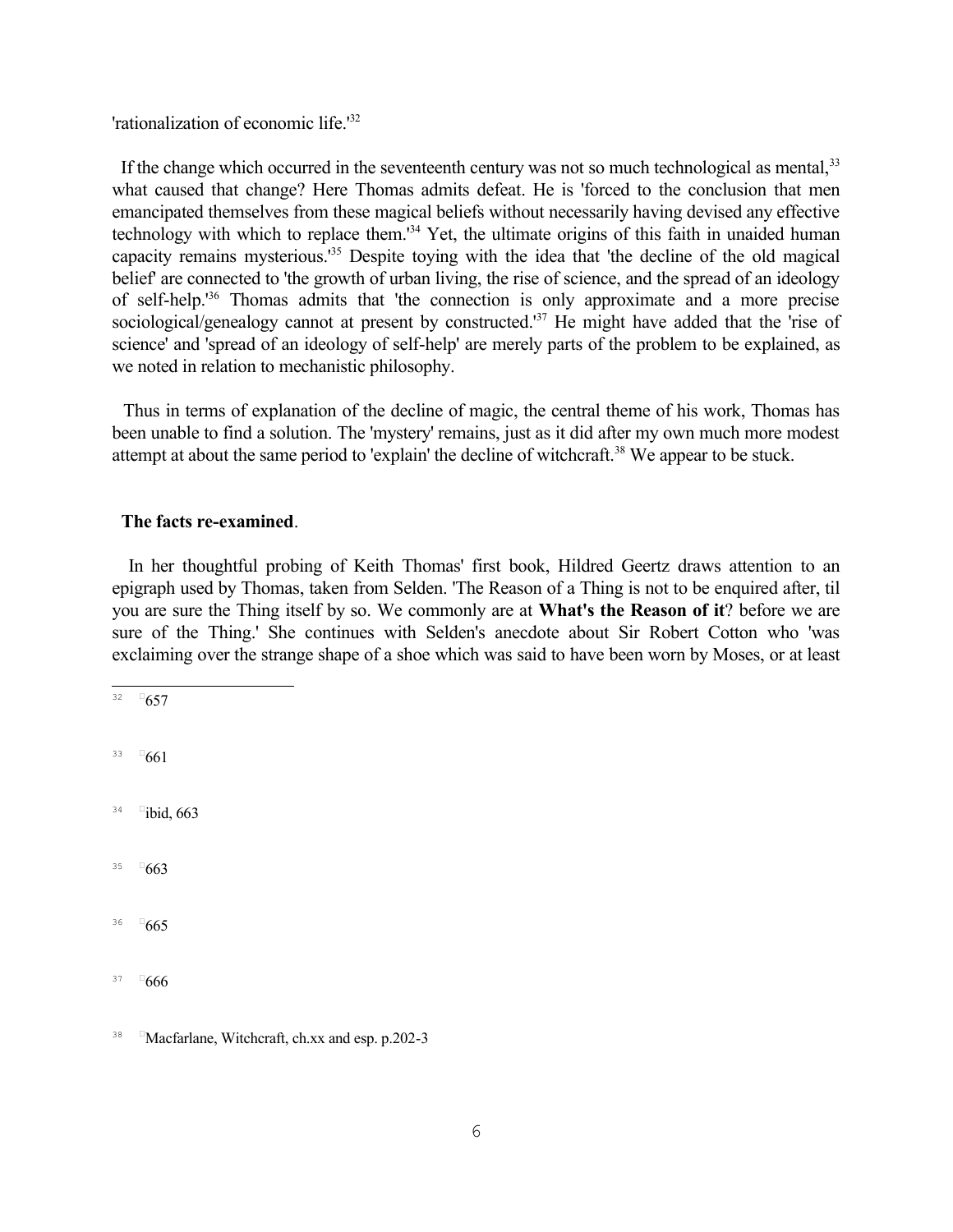'rationalization of economic life.' [32](#page-5-0)

If the change which occurred in the seventeenth century was not so much technological as mental,<sup>[33](#page-5-1)</sup> what caused that change? Here Thomas admits defeat. He is 'forced to the conclusion that men emancipated themselves from these magical beliefs without necessarily having devised any effective technology with which to replace them.<sup>1[34](#page-5-2)</sup> Yet, the ultimate origins of this faith in unaided human capacity remains mysterious.' [35](#page-5-3) Despite toying with the idea that 'the decline of the old magical belief' are connected to 'the growth of urban living, the rise of science, and the spread of an ideology of self-help.' [36](#page-5-4) Thomas admits that 'the connection is only approximate and a more precise sociological/genealogy cannot at present by constructed.<sup>1[37](#page-5-5)</sup> He might have added that the 'rise of science' and 'spread of an ideology of self-help' are merely parts of the problem to be explained, as we noted in relation to mechanistic philosophy.

Thus in terms of explanation of the decline of magic, the central theme of his work, Thomas has been unable to find a solution. The 'mystery' remains, just as it did after my own much more modest attempt at about the same period to 'explain' the decline of witchcraft.<sup>[38](#page-5-6)</sup> We appear to be stuck.

## **The facts re-examined**.

<span id="page-5-1"></span><span id="page-5-0"></span>In her thoughtful probing of Keith Thomas' first book, Hildred Geertz draws attention to an epigraph used by Thomas, taken from Selden. 'The Reason of a Thing is not to be enquired after, til you are sure the Thing itself by so. We commonly are at **What's the Reason of it**? before we are sure of the Thing.' She continues with Selden's anecdote about Sir Robert Cotton who 'was exclaiming over the strange shape of a shoe which was said to have been worn by Moses, or at least

<span id="page-5-6"></span><span id="page-5-5"></span><span id="page-5-4"></span><span id="page-5-3"></span><span id="page-5-2"></span><sup>&</sup>lt;sup>38</sup> Macfarlane, Witchcraft, ch.xx and esp. p.202-3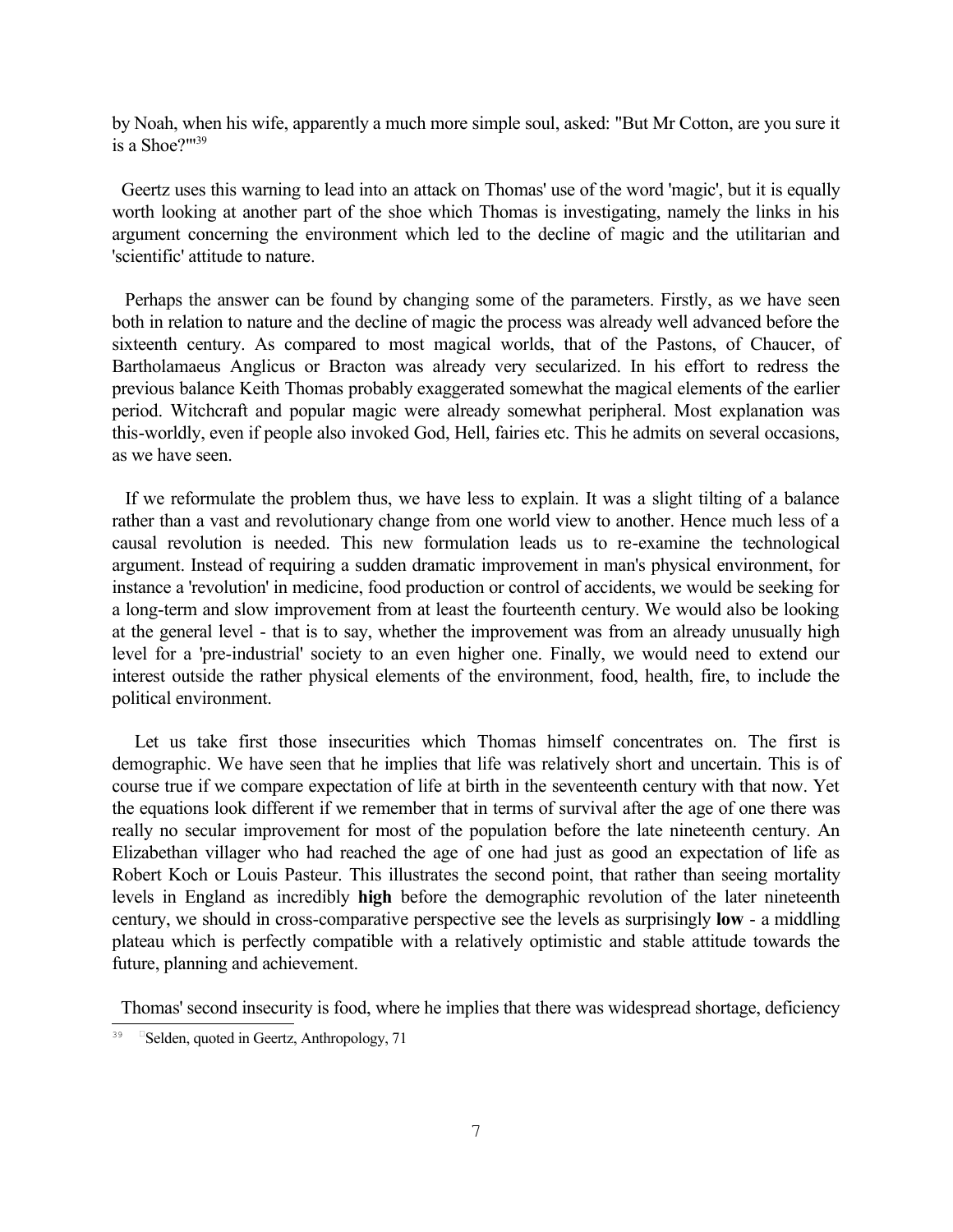by Noah, when his wife, apparently a much more simple soul, asked: "But Mr Cotton, are you sure it is a Shoe?"' [39](#page-6-0)

Geertz uses this warning to lead into an attack on Thomas' use of the word 'magic', but it is equally worth looking at another part of the shoe which Thomas is investigating, namely the links in his argument concerning the environment which led to the decline of magic and the utilitarian and 'scientific' attitude to nature.

Perhaps the answer can be found by changing some of the parameters. Firstly, as we have seen both in relation to nature and the decline of magic the process was already well advanced before the sixteenth century. As compared to most magical worlds, that of the Pastons, of Chaucer, of Bartholamaeus Anglicus or Bracton was already very secularized. In his effort to redress the previous balance Keith Thomas probably exaggerated somewhat the magical elements of the earlier period. Witchcraft and popular magic were already somewhat peripheral. Most explanation was this-worldly, even if people also invoked God, Hell, fairies etc. This he admits on several occasions, as we have seen.

If we reformulate the problem thus, we have less to explain. It was a slight tilting of a balance rather than a vast and revolutionary change from one world view to another. Hence much less of a causal revolution is needed. This new formulation leads us to re-examine the technological argument. Instead of requiring a sudden dramatic improvement in man's physical environment, for instance a 'revolution' in medicine, food production or control of accidents, we would be seeking for a long-term and slow improvement from at least the fourteenth century. We would also be looking at the general level - that is to say, whether the improvement was from an already unusually high level for a 'pre-industrial' society to an even higher one. Finally, we would need to extend our interest outside the rather physical elements of the environment, food, health, fire, to include the political environment.

Let us take first those insecurities which Thomas himself concentrates on. The first is demographic. We have seen that he implies that life was relatively short and uncertain. This is of course true if we compare expectation of life at birth in the seventeenth century with that now. Yet the equations look different if we remember that in terms of survival after the age of one there was really no secular improvement for most of the population before the late nineteenth century. An Elizabethan villager who had reached the age of one had just as good an expectation of life as Robert Koch or Louis Pasteur. This illustrates the second point, that rather than seeing mortality levels in England as incredibly **high** before the demographic revolution of the later nineteenth century, we should in cross-comparative perspective see the levels as surprisingly **low** - a middling plateau which is perfectly compatible with a relatively optimistic and stable attitude towards the future, planning and achievement.

Thomas' second insecurity is food, where he implies that there was widespread shortage, deficiency

<span id="page-6-0"></span><sup>&</sup>lt;sup>39</sup> <sup>D</sup>Selden, quoted in Geertz, Anthropology, 71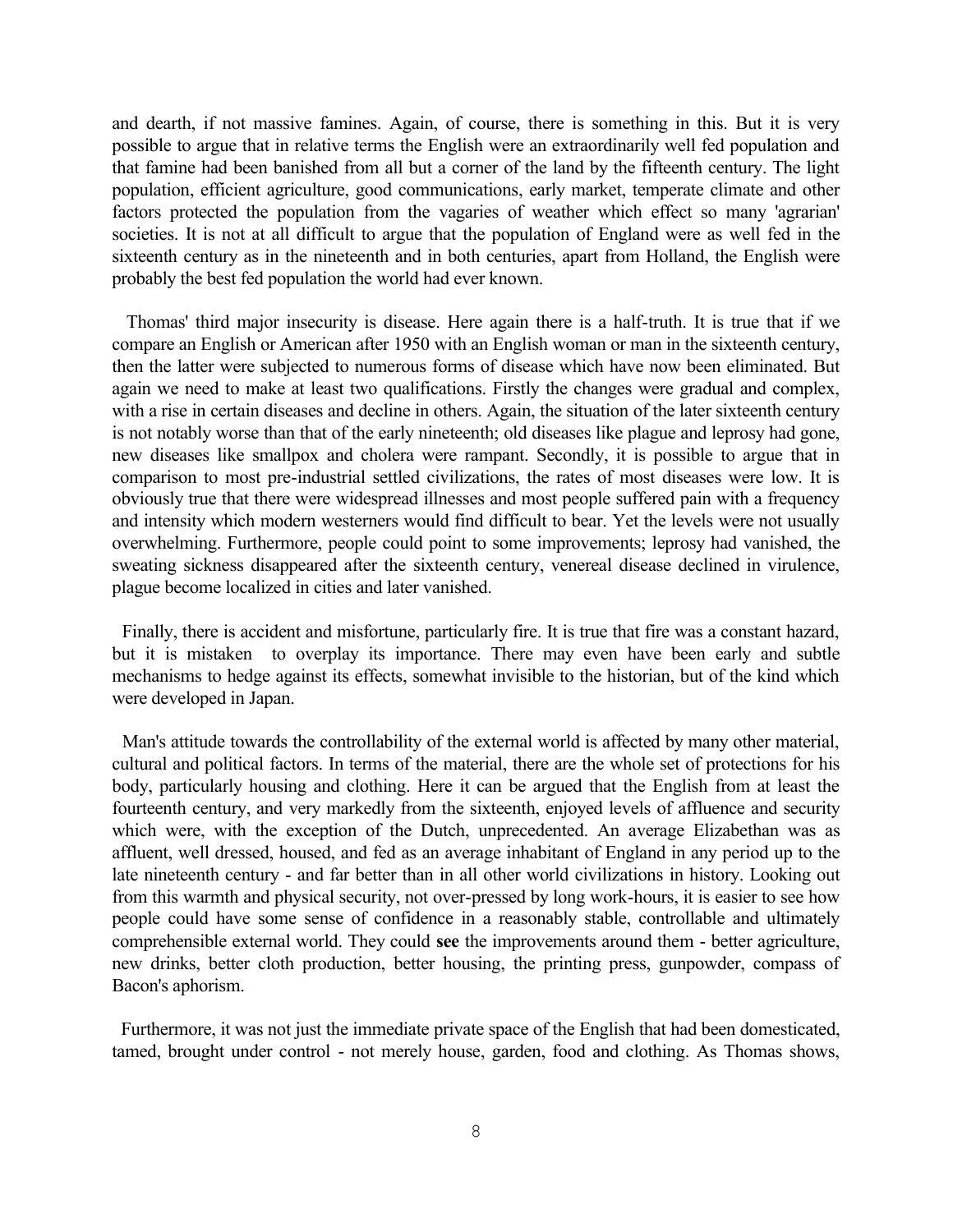and dearth, if not massive famines. Again, of course, there is something in this. But it is very possible to argue that in relative terms the English were an extraordinarily well fed population and that famine had been banished from all but a corner of the land by the fifteenth century. The light population, efficient agriculture, good communications, early market, temperate climate and other factors protected the population from the vagaries of weather which effect so many 'agrarian' societies. It is not at all difficult to argue that the population of England were as well fed in the sixteenth century as in the nineteenth and in both centuries, apart from Holland, the English were probably the best fed population the world had ever known.

Thomas' third major insecurity is disease. Here again there is a half-truth. It is true that if we compare an English or American after 1950 with an English woman or man in the sixteenth century, then the latter were subjected to numerous forms of disease which have now been eliminated. But again we need to make at least two qualifications. Firstly the changes were gradual and complex, with a rise in certain diseases and decline in others. Again, the situation of the later sixteenth century is not notably worse than that of the early nineteenth; old diseases like plague and leprosy had gone, new diseases like smallpox and cholera were rampant. Secondly, it is possible to argue that in comparison to most pre-industrial settled civilizations, the rates of most diseases were low. It is obviously true that there were widespread illnesses and most people suffered pain with a frequency and intensity which modern westerners would find difficult to bear. Yet the levels were not usually overwhelming. Furthermore, people could point to some improvements; leprosy had vanished, the sweating sickness disappeared after the sixteenth century, venereal disease declined in virulence, plague become localized in cities and later vanished.

Finally, there is accident and misfortune, particularly fire. It is true that fire was a constant hazard, but it is mistaken to overplay its importance. There may even have been early and subtle mechanisms to hedge against its effects, somewhat invisible to the historian, but of the kind which were developed in Japan.

Man's attitude towards the controllability of the external world is affected by many other material, cultural and political factors. In terms of the material, there are the whole set of protections for his body, particularly housing and clothing. Here it can be argued that the English from at least the fourteenth century, and very markedly from the sixteenth, enjoyed levels of affluence and security which were, with the exception of the Dutch, unprecedented. An average Elizabethan was as affluent, well dressed, housed, and fed as an average inhabitant of England in any period up to the late nineteenth century - and far better than in all other world civilizations in history. Looking out from this warmth and physical security, not over-pressed by long work-hours, it is easier to see how people could have some sense of confidence in a reasonably stable, controllable and ultimately comprehensible external world. They could **see** the improvements around them - better agriculture, new drinks, better cloth production, better housing, the printing press, gunpowder, compass of Bacon's aphorism.

Furthermore, it was not just the immediate private space of the English that had been domesticated, tamed, brought under control - not merely house, garden, food and clothing. As Thomas shows,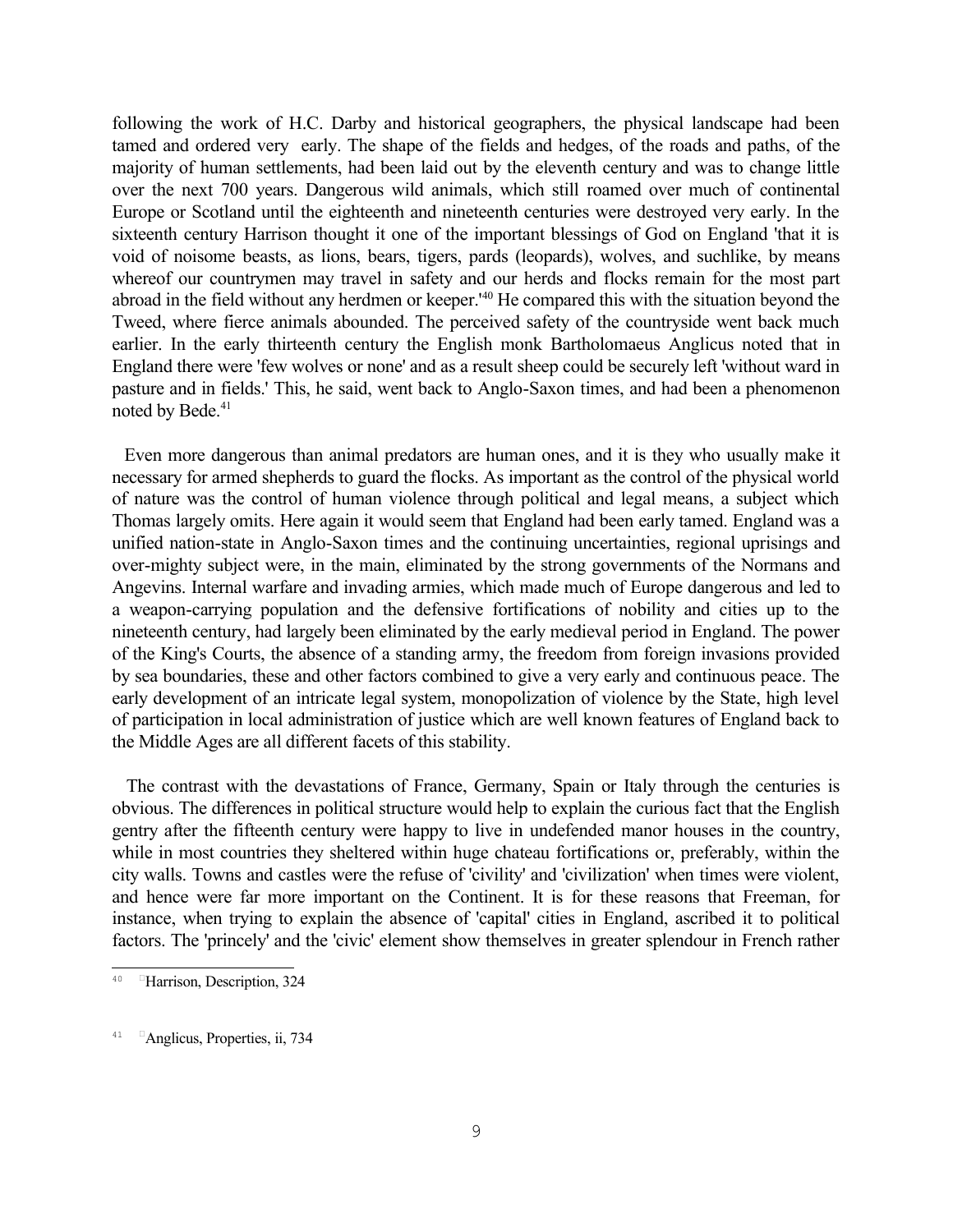following the work of H.C. Darby and historical geographers, the physical landscape had been tamed and ordered very early. The shape of the fields and hedges, of the roads and paths, of the majority of human settlements, had been laid out by the eleventh century and was to change little over the next 700 years. Dangerous wild animals, which still roamed over much of continental Europe or Scotland until the eighteenth and nineteenth centuries were destroyed very early. In the sixteenth century Harrison thought it one of the important blessings of God on England 'that it is void of noisome beasts, as lions, bears, tigers, pards (leopards), wolves, and suchlike, by means whereof our countrymen may travel in safety and our herds and flocks remain for the most part abroad in the field without any herdmen or keeper.' [40](#page-8-0) He compared this with the situation beyond the Tweed, where fierce animals abounded. The perceived safety of the countryside went back much earlier. In the early thirteenth century the English monk Bartholomaeus Anglicus noted that in England there were 'few wolves or none' and as a result sheep could be securely left 'without ward in pasture and in fields.' This, he said, went back to Anglo-Saxon times, and had been a phenomenon noted by Bede. [41](#page-8-1)

Even more dangerous than animal predators are human ones, and it is they who usually make it necessary for armed shepherds to guard the flocks. As important as the control of the physical world of nature was the control of human violence through political and legal means, a subject which Thomas largely omits. Here again it would seem that England had been early tamed. England was a unified nation-state in Anglo-Saxon times and the continuing uncertainties, regional uprisings and over-mighty subject were, in the main, eliminated by the strong governments of the Normans and Angevins. Internal warfare and invading armies, which made much of Europe dangerous and led to a weapon-carrying population and the defensive fortifications of nobility and cities up to the nineteenth century, had largely been eliminated by the early medieval period in England. The power of the King's Courts, the absence of a standing army, the freedom from foreign invasions provided by sea boundaries, these and other factors combined to give a very early and continuous peace. The early development of an intricate legal system, monopolization of violence by the State, high level of participation in local administration of justice which are well known features of England back to the Middle Ages are all different facets of this stability.

The contrast with the devastations of France, Germany, Spain or Italy through the centuries is obvious. The differences in political structure would help to explain the curious fact that the English gentry after the fifteenth century were happy to live in undefended manor houses in the country, while in most countries they sheltered within huge chateau fortifications or, preferably, within the city walls. Towns and castles were the refuse of 'civility' and 'civilization' when times were violent, and hence were far more important on the Continent. It is for these reasons that Freeman, for instance, when trying to explain the absence of 'capital' cities in England, ascribed it to political factors. The 'princely' and the 'civic' element show themselves in greater splendour in French rather

<span id="page-8-0"></span> $40$ Harrison, Description, 324

<span id="page-8-1"></span><sup>&</sup>lt;sup>41</sup> Anglicus, Properties, ii, 734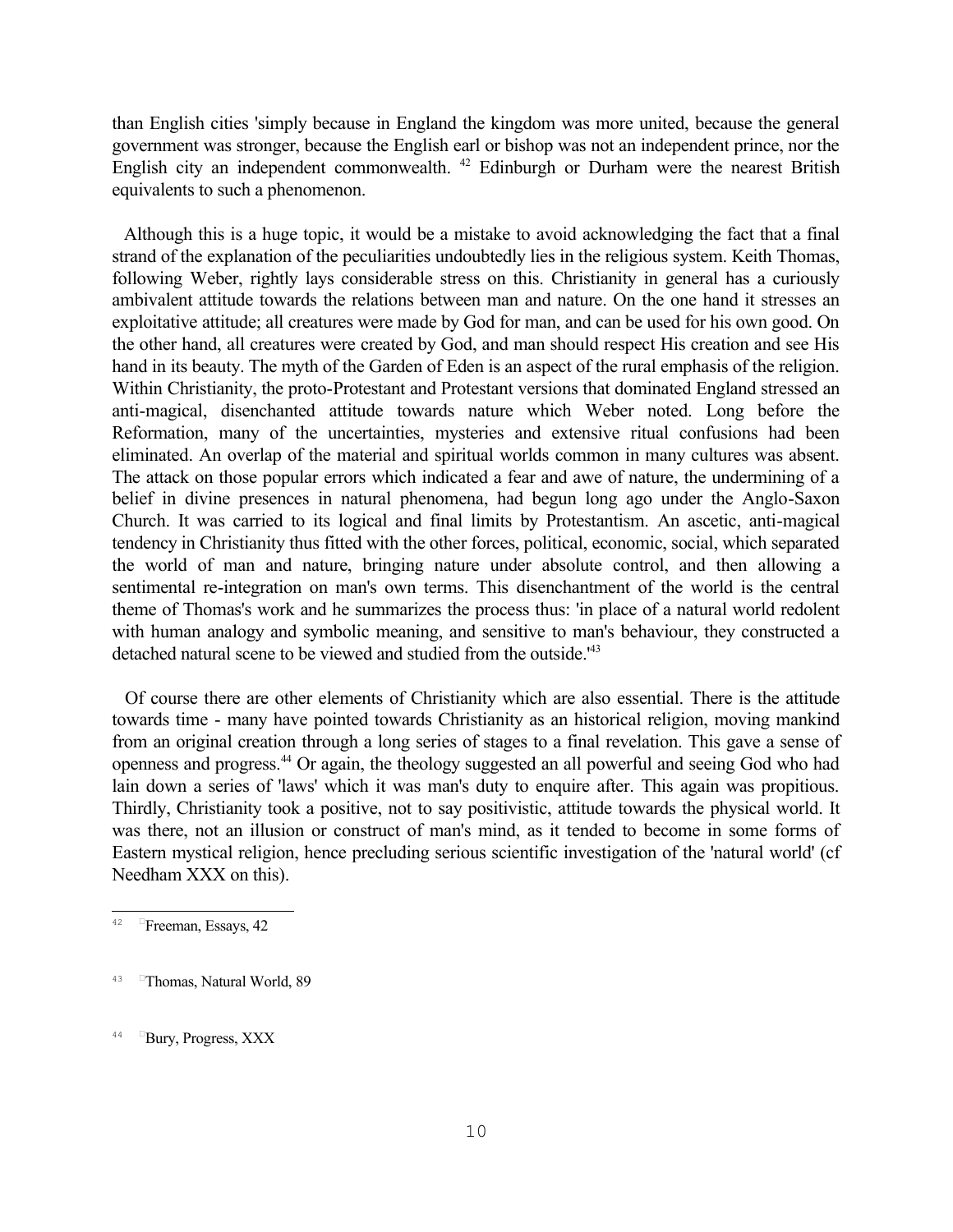than English cities 'simply because in England the kingdom was more united, because the general government was stronger, because the English earl or bishop was not an independent prince, nor the English city an independent commonwealth. <sup>[42](#page-9-0)</sup> Edinburgh or Durham were the nearest British equivalents to such a phenomenon.

Although this is a huge topic, it would be a mistake to avoid acknowledging the fact that a final strand of the explanation of the peculiarities undoubtedly lies in the religious system. Keith Thomas, following Weber, rightly lays considerable stress on this. Christianity in general has a curiously ambivalent attitude towards the relations between man and nature. On the one hand it stresses an exploitative attitude; all creatures were made by God for man, and can be used for his own good. On the other hand, all creatures were created by God, and man should respect His creation and see His hand in its beauty. The myth of the Garden of Eden is an aspect of the rural emphasis of the religion. Within Christianity, the proto-Protestant and Protestant versions that dominated England stressed an anti-magical, disenchanted attitude towards nature which Weber noted. Long before the Reformation, many of the uncertainties, mysteries and extensive ritual confusions had been eliminated. An overlap of the material and spiritual worlds common in many cultures was absent. The attack on those popular errors which indicated a fear and awe of nature, the undermining of a belief in divine presences in natural phenomena, had begun long ago under the Anglo-Saxon Church. It was carried to its logical and final limits by Protestantism. An ascetic, anti-magical tendency in Christianity thus fitted with the other forces, political, economic, social, which separated the world of man and nature, bringing nature under absolute control, and then allowing a sentimental re-integration on man's own terms. This disenchantment of the world is the central theme of Thomas's work and he summarizes the process thus: 'in place of a natural world redolent with human analogy and symbolic meaning, and sensitive to man's behaviour, they constructed a detached natural scene to be viewed and studied from the outside.<sup>1[43](#page-9-1)</sup>

Of course there are other elements of Christianity which are also essential. There is the attitude towards time - many have pointed towards Christianity as an historical religion, moving mankind from an original creation through a long series of stages to a final revelation. This gave a sense of openness and progress. [44](#page-9-2) Or again, the theology suggested an all powerful and seeing God who had lain down a series of 'laws' which it was man's duty to enquire after. This again was propitious. Thirdly, Christianity took a positive, not to say positivistic, attitude towards the physical world. It was there, not an illusion or construct of man's mind, as it tended to become in some forms of Eastern mystical religion, hence precluding serious scientific investigation of the 'natural world' (cf Needham XXX on this).

<span id="page-9-0"></span> $42$ Freeman, Essays, 42

<span id="page-9-1"></span><sup>43</sup> -Thomas, Natural World, 89

<span id="page-9-2"></span><sup>&</sup>lt;sup>44</sup> Bury, Progress, XXX